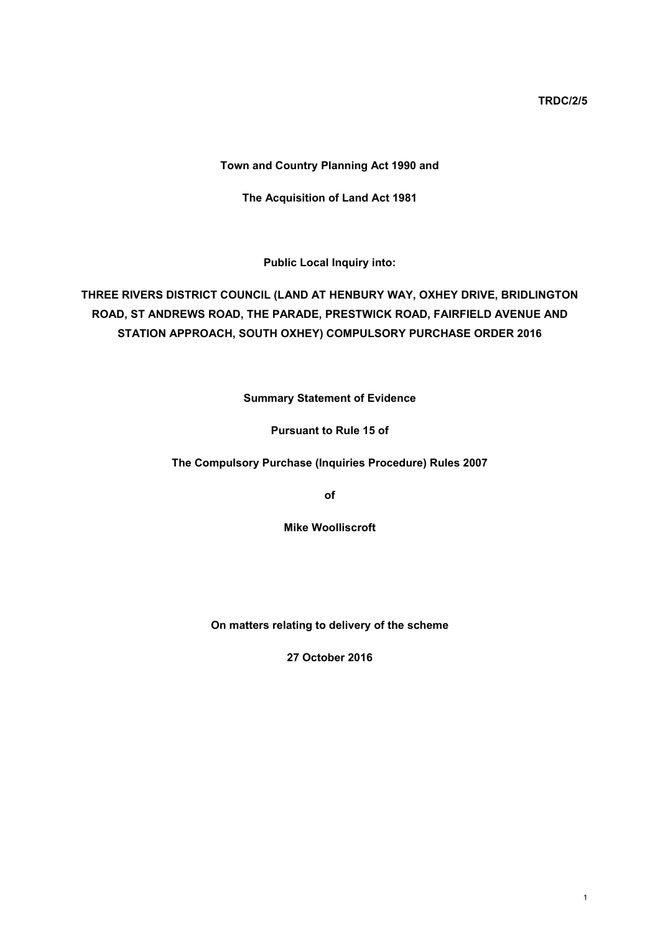**TRDC/2/5**

# **Town and Country Planning Act 1990 and**

**The Acquisition of Land Act 1981**

**Public Local Inquiry into:**

# **THREE RIVERS DISTRICT COUNCIL (LAND AT HENBURY WAY, OXHEY DRIVE, BRIDLINGTON ROAD, ST ANDREWS ROAD, THE PARADE, PRESTWICK ROAD, FAIRFIELD AVENUE AND STATION APPROACH, SOUTH OXHEY) COMPULSORY PURCHASE ORDER 2016**

**Summary Statement of Evidence**

**Pursuant to Rule 15 of**

**The Compulsory Purchase (Inquiries Procedure) Rules 2007**

**of**

**Mike Woolliscroft**

**On matters relating to delivery of the scheme**

**27 October 2016**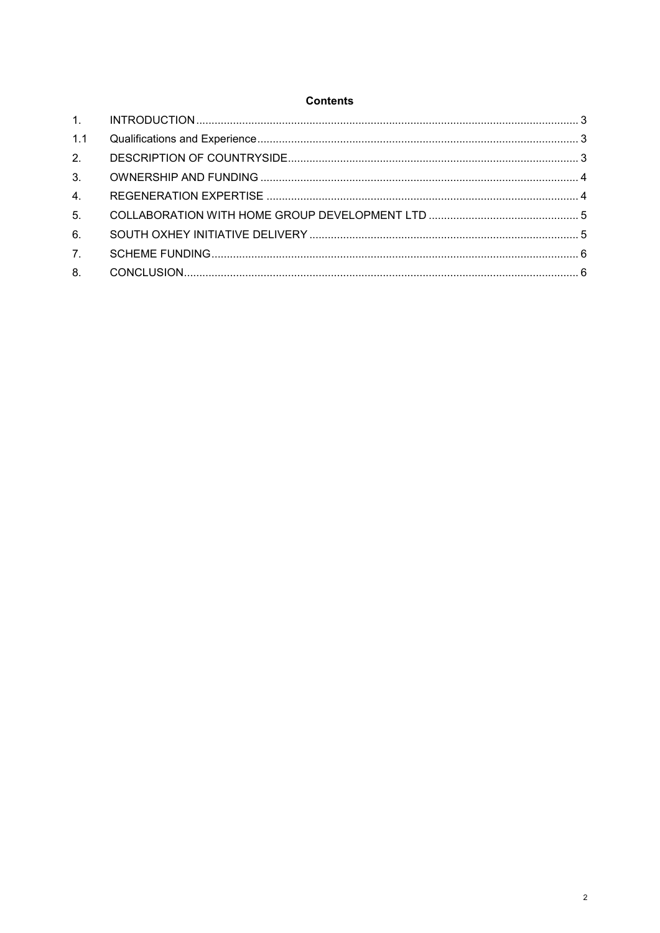### **Contents**

| 1.1              |  |
|------------------|--|
| 2.               |  |
| 3.               |  |
| 4.               |  |
| 5 <sub>1</sub>   |  |
| 6.               |  |
| $\overline{7}$ . |  |
|                  |  |
|                  |  |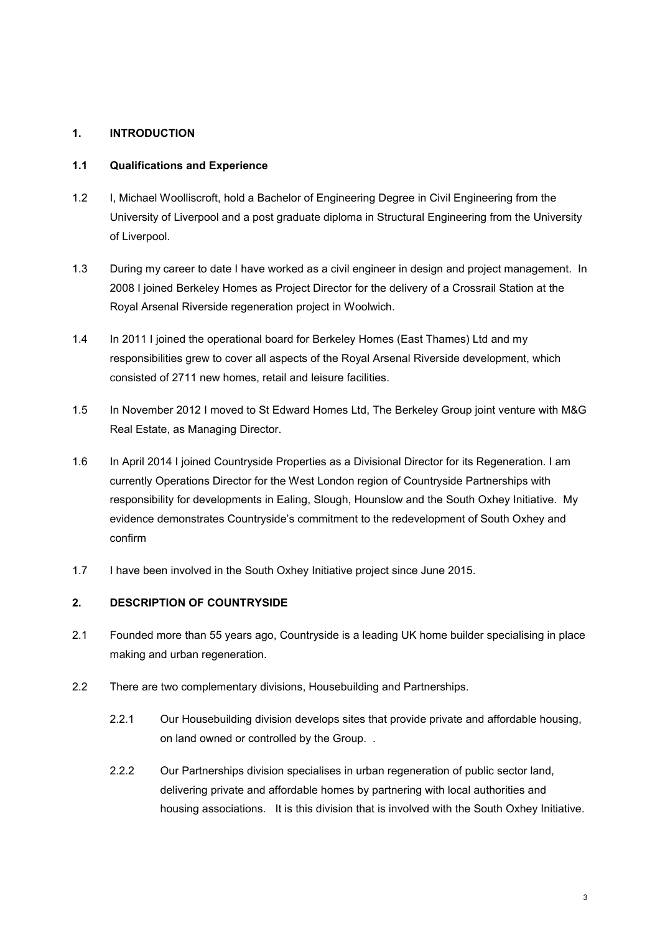# <span id="page-2-0"></span>**1. INTRODUCTION**

#### <span id="page-2-1"></span>**1.1 Qualifications and Experience**

- 1.2 I, Michael Woolliscroft, hold a Bachelor of Engineering Degree in Civil Engineering from the University of Liverpool and a post graduate diploma in Structural Engineering from the University of Liverpool.
- 1.3 During my career to date I have worked as a civil engineer in design and project management. In 2008 I joined Berkeley Homes as Project Director for the delivery of a Crossrail Station at the Royal Arsenal Riverside regeneration project in Woolwich.
- 1.4 In 2011 I joined the operational board for Berkeley Homes (East Thames) Ltd and my responsibilities grew to cover all aspects of the Royal Arsenal Riverside development, which consisted of 2711 new homes, retail and leisure facilities.
- 1.5 In November 2012 I moved to St Edward Homes Ltd, The Berkeley Group joint venture with M&G Real Estate, as Managing Director.
- 1.6 In April 2014 I joined Countryside Properties as a Divisional Director for its Regeneration. I am currently Operations Director for the West London region of Countryside Partnerships with responsibility for developments in Ealing, Slough, Hounslow and the South Oxhey Initiative. My evidence demonstrates Countryside's commitment to the redevelopment of South Oxhey and confirm
- 1.7 I have been involved in the South Oxhey Initiative project since June 2015.

# <span id="page-2-2"></span>**2. DESCRIPTION OF COUNTRYSIDE**

- 2.1 Founded more than 55 years ago, Countryside is a leading UK home builder specialising in place making and urban regeneration.
- 2.2 There are two complementary divisions. Housebuilding and Partnerships.
	- 2.2.1 Our Housebuilding division develops sites that provide private and affordable housing, on land owned or controlled by the Group. .
	- 2.2.2 Our Partnerships division specialises in urban regeneration of public sector land, delivering private and affordable homes by partnering with local authorities and housing associations. It is this division that is involved with the South Oxhey Initiative.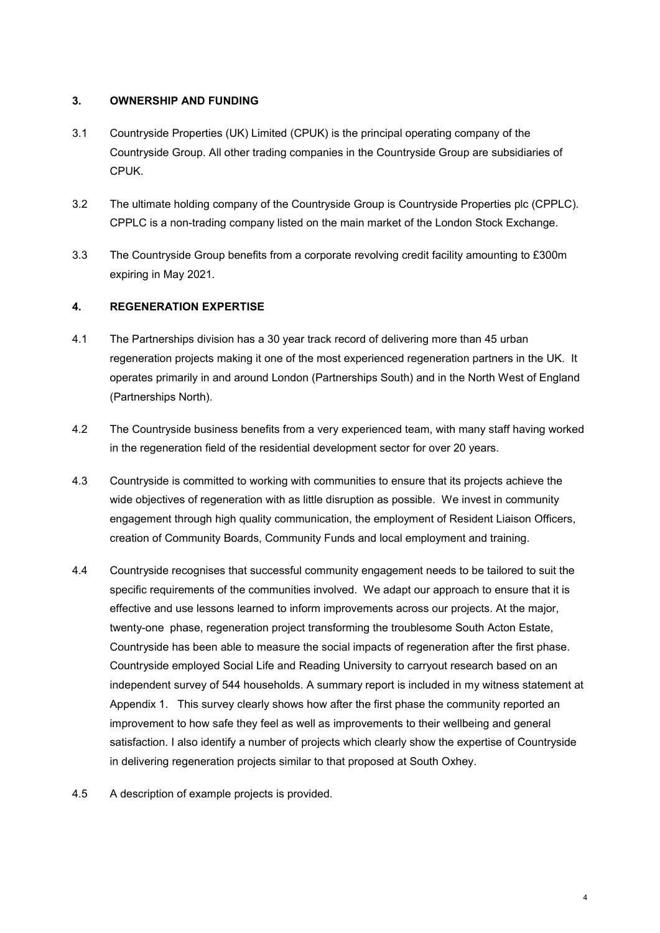# <span id="page-3-0"></span>**3. OWNERSHIP AND FUNDING**

- 3.1 Countryside Properties (UK) Limited (CPUK) is the principal operating company of the Countryside Group. All other trading companies in the Countryside Group are subsidiaries of CPUK.
- 3.2 The ultimate holding company of the Countryside Group is Countryside Properties plc (CPPLC). CPPLC is a non-trading company listed on the main market of the London Stock Exchange.
- 3.3 The Countryside Group benefits from a corporate revolving credit facility amounting to £300m expiring in May 2021.

# <span id="page-3-1"></span>**4. REGENERATION EXPERTISE**

- 4.1 The Partnerships division has a 30 year track record of delivering more than 45 urban regeneration projects making it one of the most experienced regeneration partners in the UK. It operates primarily in and around London (Partnerships South) and in the North West of England (Partnerships North).
- 4.2 The Countryside business benefits from a very experienced team, with many staff having worked in the regeneration field of the residential development sector for over 20 years.
- 4.3 Countryside is committed to working with communities to ensure that its projects achieve the wide objectives of regeneration with as little disruption as possible. We invest in community engagement through high quality communication, the employment of Resident Liaison Officers, creation of Community Boards, Community Funds and local employment and training.
- 4.4 Countryside recognises that successful community engagement needs to be tailored to suit the specific requirements of the communities involved. We adapt our approach to ensure that it is effective and use lessons learned to inform improvements across our projects. At the major, twenty-one phase, regeneration project transforming the troublesome South Acton Estate, Countryside has been able to measure the social impacts of regeneration after the first phase. Countryside employed Social Life and Reading University to carryout research based on an independent survey of 544 households. A summary report is included in my witness statement at Appendix 1. This survey clearly shows how after the first phase the community reported an improvement to how safe they feel as well as improvements to their wellbeing and general satisfaction. I also identify a number of projects which clearly show the expertise of Countryside in delivering regeneration projects similar to that proposed at South Oxhey.
- 4.5 A description of example projects is provided.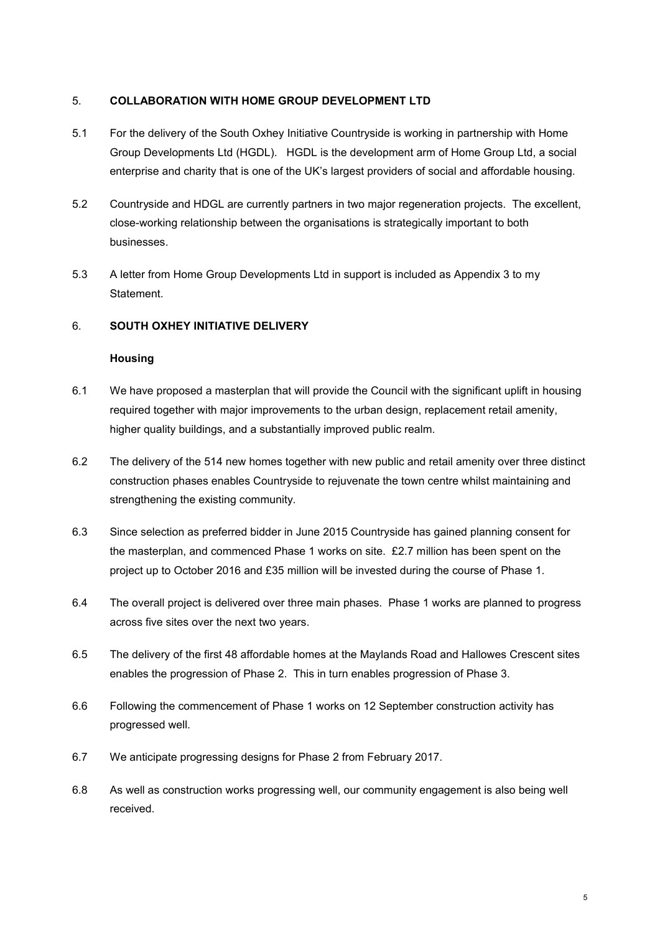### <span id="page-4-0"></span>5. **COLLABORATION WITH HOME GROUP DEVELOPMENT LTD**

- 5.1 For the delivery of the South Oxhey Initiative Countryside is working in partnership with Home Group Developments Ltd (HGDL). HGDL is the development arm of Home Group Ltd, a social enterprise and charity that is one of the UK's largest providers of social and affordable housing.
- 5.2 Countryside and HDGL are currently partners in two major regeneration projects. The excellent, close-working relationship between the organisations is strategically important to both businesses.
- 5.3 A letter from Home Group Developments Ltd in support is included as Appendix 3 to my **Statement**

# 6. **SOUTH OXHEY INITIATIVE DELIVERY**

### <span id="page-4-1"></span>**Housing**

- 6.1 We have proposed a masterplan that will provide the Council with the significant uplift in housing required together with major improvements to the urban design, replacement retail amenity, higher quality buildings, and a substantially improved public realm.
- 6.2 The delivery of the 514 new homes together with new public and retail amenity over three distinct construction phases enables Countryside to rejuvenate the town centre whilst maintaining and strengthening the existing community.
- 6.3 Since selection as preferred bidder in June 2015 Countryside has gained planning consent for the masterplan, and commenced Phase 1 works on site. £2.7 million has been spent on the project up to October 2016 and £35 million will be invested during the course of Phase 1.
- 6.4 The overall project is delivered over three main phases. Phase 1 works are planned to progress across five sites over the next two years.
- 6.5 The delivery of the first 48 affordable homes at the Maylands Road and Hallowes Crescent sites enables the progression of Phase 2. This in turn enables progression of Phase 3.
- 6.6 Following the commencement of Phase 1 works on 12 September construction activity has progressed well.
- 6.7 We anticipate progressing designs for Phase 2 from February 2017.
- 6.8 As well as construction works progressing well, our community engagement is also being well received.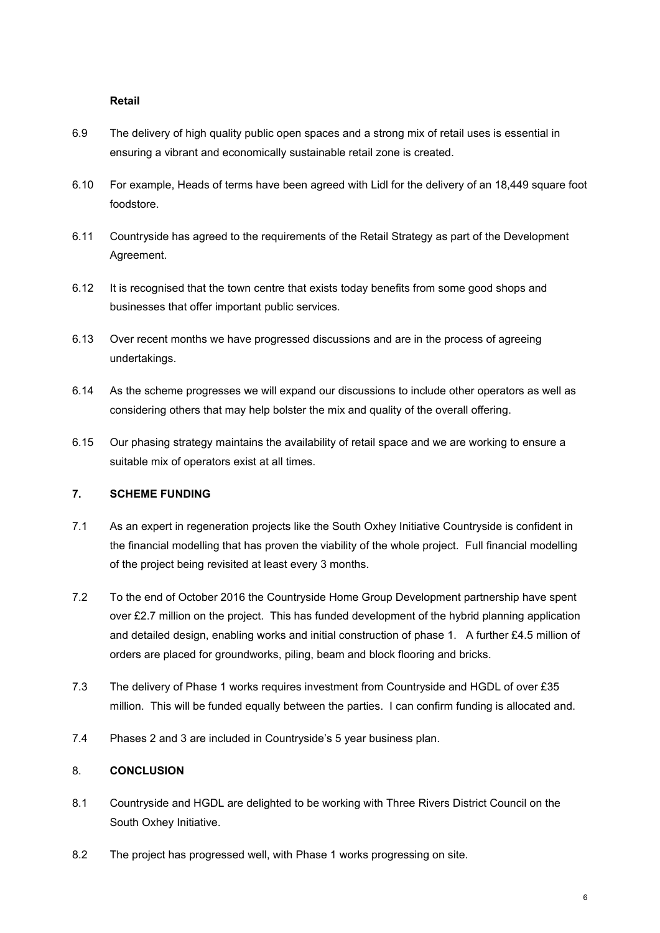#### **Retail**

- 6.9 The delivery of high quality public open spaces and a strong mix of retail uses is essential in ensuring a vibrant and economically sustainable retail zone is created.
- 6.10 For example, Heads of terms have been agreed with Lidl for the delivery of an 18,449 square foot foodstore.
- 6.11 Countryside has agreed to the requirements of the Retail Strategy as part of the Development Agreement.
- 6.12 It is recognised that the town centre that exists today benefits from some good shops and businesses that offer important public services.
- 6.13 Over recent months we have progressed discussions and are in the process of agreeing undertakings.
- 6.14 As the scheme progresses we will expand our discussions to include other operators as well as considering others that may help bolster the mix and quality of the overall offering.
- 6.15 Our phasing strategy maintains the availability of retail space and we are working to ensure a suitable mix of operators exist at all times.

# <span id="page-5-0"></span>**7. SCHEME FUNDING**

- 7.1 As an expert in regeneration projects like the South Oxhey Initiative Countryside is confident in the financial modelling that has proven the viability of the whole project. Full financial modelling of the project being revisited at least every 3 months.
- 7.2 To the end of October 2016 the Countryside Home Group Development partnership have spent over £2.7 million on the project. This has funded development of the hybrid planning application and detailed design, enabling works and initial construction of phase 1. A further £4.5 million of orders are placed for groundworks, piling, beam and block flooring and bricks.
- 7.3 The delivery of Phase 1 works requires investment from Countryside and HGDL of over £35 million. This will be funded equally between the parties. I can confirm funding is allocated and.
- 7.4 Phases 2 and 3 are included in Countryside's 5 year business plan.

# <span id="page-5-1"></span>8. **CONCLUSION**

- 8.1 Countryside and HGDL are delighted to be working with Three Rivers District Council on the South Oxhey Initiative.
- 8.2 The project has progressed well, with Phase 1 works progressing on site.